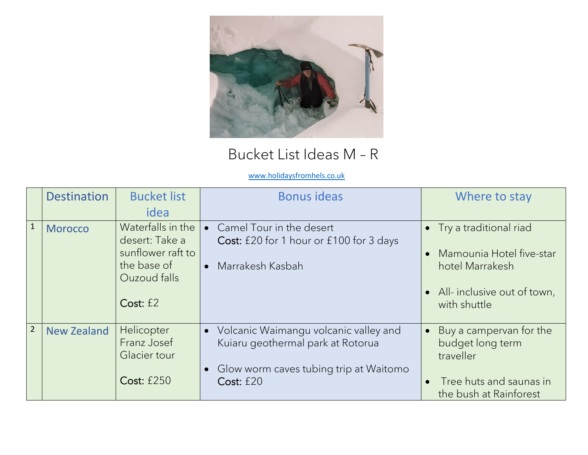

## Bucket List Ideas M – R

## [www.holidaysfromhels.co.uk](http://www.holidaysfromhels.co.uk/)

|                | <b>Destination</b> | <b>Bucket list</b><br>idea                                                                          | <b>Bonus ideas</b>                                                                                                                | Where to stay                                                                                                                                              |
|----------------|--------------------|-----------------------------------------------------------------------------------------------------|-----------------------------------------------------------------------------------------------------------------------------------|------------------------------------------------------------------------------------------------------------------------------------------------------------|
| $\mathbf{1}$   | <b>Morocco</b>     | Waterfalls in the<br>desert: Take a<br>sunflower raft to<br>the base of<br>Ouzoud falls<br>Cost: f2 | Camel Tour in the desert<br>Cost: £20 for 1 hour or £100 for 3 days<br>Marrakesh Kasbah                                           | Try a traditional riad<br>$\bullet$<br>Mamounia Hotel five-star<br>$\bullet$<br>hotel Marrakesh<br>All-inclusive out of town,<br>$\bullet$<br>with shuttle |
| $\overline{2}$ | <b>New Zealand</b> | Helicopter<br>Franz Josef<br>Glacier tour<br><b>Cost: £250</b>                                      | Volcanic Waimangu volcanic valley and<br>Kuiaru geothermal park at Rotorua<br>Glow worm caves tubing trip at Waitomo<br>Cost: f20 | Buy a campervan for the<br>$\bullet$<br>budget long term<br>traveller<br>Tree huts and saunas in<br>$\bullet$<br>the bush at Rainforest                    |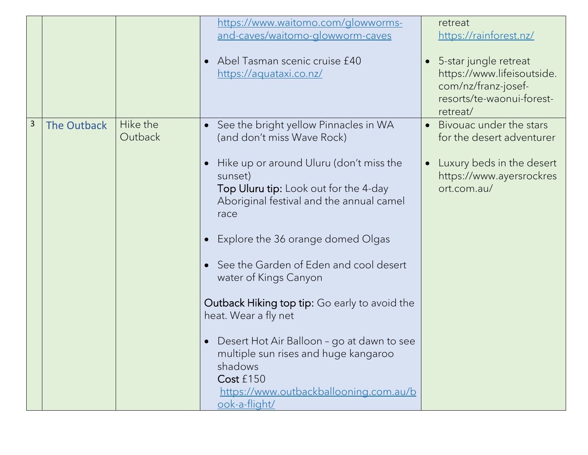|   |             |                     | https://www.waitomo.com/glowworms-<br>and-caves/waitomo-glowworm-caves<br>Abel Tasman scenic cruise £40<br>https://aquataxi.co.nz/                                                                                                                                                                                                                                                                                                                                                                                                                                                                   | $\bullet$ | retreat<br>https://rainforest.nz/<br>5-star jungle retreat<br>https://www.lifeisoutside.<br>com/nz/franz-josef-<br>resorts/te-waonui-forest-<br>retreat/ |
|---|-------------|---------------------|------------------------------------------------------------------------------------------------------------------------------------------------------------------------------------------------------------------------------------------------------------------------------------------------------------------------------------------------------------------------------------------------------------------------------------------------------------------------------------------------------------------------------------------------------------------------------------------------------|-----------|----------------------------------------------------------------------------------------------------------------------------------------------------------|
| 3 | The Outback | Hike the<br>Outback | See the bright yellow Pinnacles in WA<br>$\bullet$<br>(and don't miss Wave Rock)<br>Hike up or around Uluru (don't miss the<br>sunset)<br>Top Uluru tip: Look out for the 4-day<br>Aboriginal festival and the annual camel<br>race<br>Explore the 36 orange domed Olgas<br>See the Garden of Eden and cool desert<br>water of Kings Canyon<br><b>Outback Hiking top tip:</b> Go early to avoid the<br>heat. Wear a fly net<br>Desert Hot Air Balloon - go at dawn to see<br>multiple sun rises and huge kangaroo<br>shadows<br>Cost £150<br>https://www.outbackballooning.com.au/b<br>ook-a-flight/ | $\bullet$ | Bivouac under the stars<br>for the desert adventurer<br>Luxury beds in the desert<br>https://www.ayersrockres<br>ort.com.au/                             |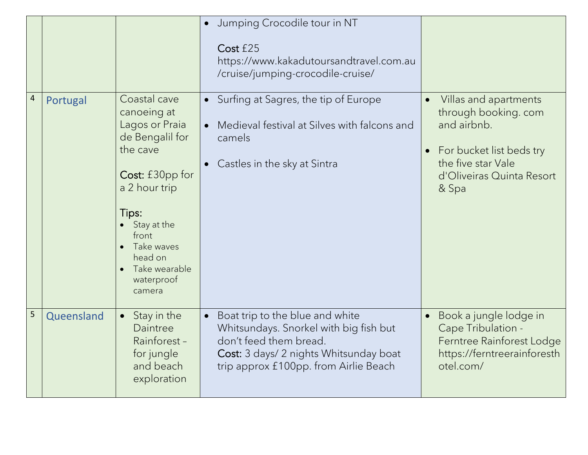|                |            |                                                                                                                                                                                                                     | Jumping Crocodile tour in NT<br>Cost £25<br>https://www.kakadutoursandtravel.com.au<br>/cruise/jumping-crocodile-cruise/                                                               |                                                                                                                                                                                |
|----------------|------------|---------------------------------------------------------------------------------------------------------------------------------------------------------------------------------------------------------------------|----------------------------------------------------------------------------------------------------------------------------------------------------------------------------------------|--------------------------------------------------------------------------------------------------------------------------------------------------------------------------------|
| $\overline{4}$ | Portugal   | Coastal cave<br>canoeing at<br>Lagos or Praia<br>de Bengalil for<br>the cave<br>Cost: £30pp for<br>a 2 hour trip<br>Tips:<br>Stay at the<br>front<br>Take waves<br>head on<br>Take wearable<br>waterproof<br>camera | • Surfing at Sagres, the tip of Europe<br>Medieval festival at Silves with falcons and<br>camels<br>Castles in the sky at Sintra                                                       | Villas and apartments<br>$\bullet$<br>through booking. com<br>and airbnb.<br>For bucket list beds try<br>$\bullet$<br>the five star Vale<br>d'Oliveiras Quinta Resort<br>& Spa |
| 5              | Queensland | Stay in the<br>$\bullet$<br>Daintree<br>Rainforest-<br>for jungle<br>and beach<br>exploration                                                                                                                       | Boat trip to the blue and white<br>Whitsundays. Snorkel with big fish but<br>don't feed them bread.<br>Cost: 3 days/ 2 nights Whitsunday boat<br>trip approx £100pp. from Airlie Beach | Book a jungle lodge in<br>Cape Tribulation -<br>Ferntree Rainforest Lodge<br>https://ferntreerainforesth<br>otel.com/                                                          |